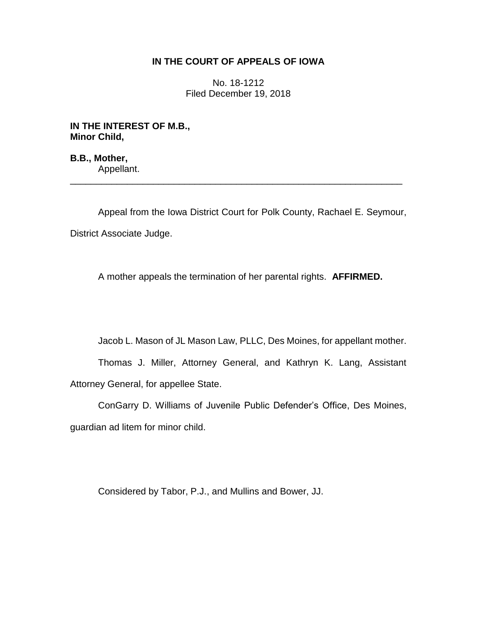## **IN THE COURT OF APPEALS OF IOWA**

No. 18-1212 Filed December 19, 2018

**IN THE INTEREST OF M.B., Minor Child,**

**B.B., Mother,** Appellant. \_\_\_\_\_\_\_\_\_\_\_\_\_\_\_\_\_\_\_\_\_\_\_\_\_\_\_\_\_\_\_\_\_\_\_\_\_\_\_\_\_\_\_\_\_\_\_\_\_\_\_\_\_\_\_\_\_\_\_\_\_\_\_\_

Appeal from the Iowa District Court for Polk County, Rachael E. Seymour, District Associate Judge.

A mother appeals the termination of her parental rights. **AFFIRMED.**

Jacob L. Mason of JL Mason Law, PLLC, Des Moines, for appellant mother.

Thomas J. Miller, Attorney General, and Kathryn K. Lang, Assistant Attorney General, for appellee State.

ConGarry D. Williams of Juvenile Public Defender's Office, Des Moines, guardian ad litem for minor child.

Considered by Tabor, P.J., and Mullins and Bower, JJ.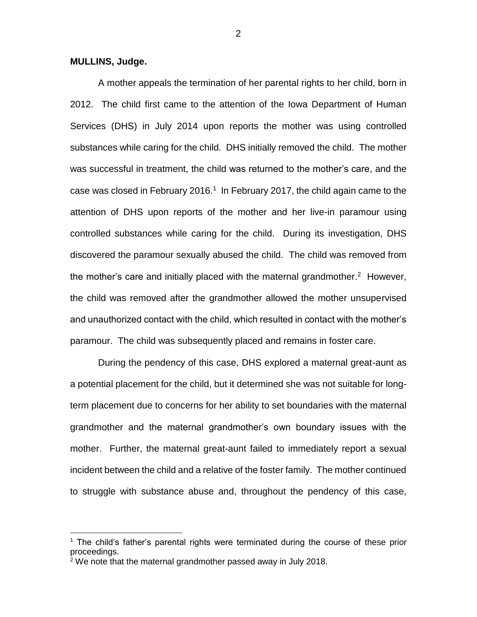**MULLINS, Judge.**

 $\overline{a}$ 

A mother appeals the termination of her parental rights to her child, born in 2012. The child first came to the attention of the Iowa Department of Human Services (DHS) in July 2014 upon reports the mother was using controlled substances while caring for the child. DHS initially removed the child. The mother was successful in treatment, the child was returned to the mother's care, and the case was closed in February 2016.<sup>1</sup> In February 2017, the child again came to the attention of DHS upon reports of the mother and her live-in paramour using controlled substances while caring for the child. During its investigation, DHS discovered the paramour sexually abused the child. The child was removed from the mother's care and initially placed with the maternal grandmother.<sup>2</sup> However, the child was removed after the grandmother allowed the mother unsupervised and unauthorized contact with the child, which resulted in contact with the mother's paramour. The child was subsequently placed and remains in foster care.

During the pendency of this case, DHS explored a maternal great-aunt as a potential placement for the child, but it determined she was not suitable for longterm placement due to concerns for her ability to set boundaries with the maternal grandmother and the maternal grandmother's own boundary issues with the mother. Further, the maternal great-aunt failed to immediately report a sexual incident between the child and a relative of the foster family. The mother continued to struggle with substance abuse and, throughout the pendency of this case,

 $1$  The child's father's parental rights were terminated during the course of these prior proceedings.

 $2$  We note that the maternal grandmother passed away in July 2018.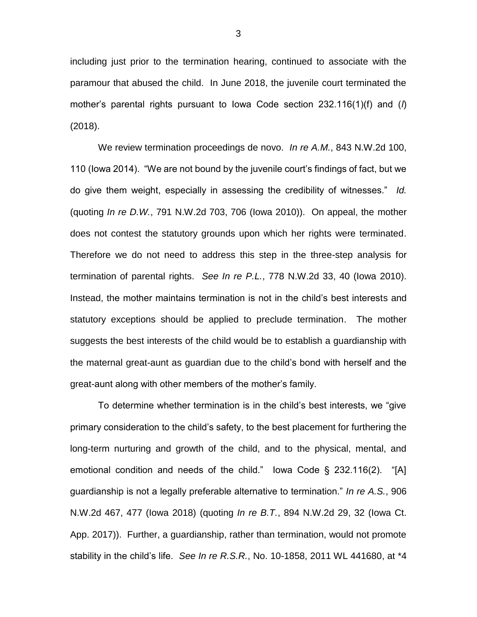including just prior to the termination hearing, continued to associate with the paramour that abused the child. In June 2018, the juvenile court terminated the mother's parental rights pursuant to Iowa Code section 232.116(1)(f) and (*l*) (2018).

We review termination proceedings de novo. *In re A.M.*, 843 N.W.2d 100, 110 (Iowa 2014). "We are not bound by the juvenile court's findings of fact, but we do give them weight, especially in assessing the credibility of witnesses." *Id.* (quoting *In re D.W.*, 791 N.W.2d 703, 706 (Iowa 2010)). On appeal, the mother does not contest the statutory grounds upon which her rights were terminated. Therefore we do not need to address this step in the three-step analysis for termination of parental rights. *See In re P.L.*, 778 N.W.2d 33, 40 (Iowa 2010). Instead, the mother maintains termination is not in the child's best interests and statutory exceptions should be applied to preclude termination. The mother suggests the best interests of the child would be to establish a guardianship with the maternal great-aunt as guardian due to the child's bond with herself and the great-aunt along with other members of the mother's family.

To determine whether termination is in the child's best interests, we "give primary consideration to the child's safety, to the best placement for furthering the long-term nurturing and growth of the child, and to the physical, mental, and emotional condition and needs of the child." Iowa Code § 232.116(2). "[A] guardianship is not a legally preferable alternative to termination." *In re A.S.*, 906 N.W.2d 467, 477 (Iowa 2018) (quoting *In re B.T.*, 894 N.W.2d 29, 32 (Iowa Ct. App. 2017)). Further, a guardianship, rather than termination, would not promote stability in the child's life. *See In re R.S.R.*, No. 10-1858, 2011 WL 441680, at \*4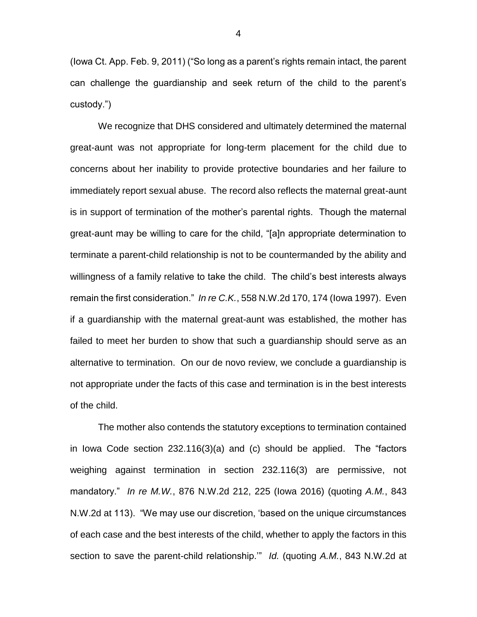(Iowa Ct. App. Feb. 9, 2011) ("So long as a parent's rights remain intact, the parent can challenge the guardianship and seek return of the child to the parent's custody.")

We recognize that DHS considered and ultimately determined the maternal great-aunt was not appropriate for long-term placement for the child due to concerns about her inability to provide protective boundaries and her failure to immediately report sexual abuse. The record also reflects the maternal great-aunt is in support of termination of the mother's parental rights. Though the maternal great-aunt may be willing to care for the child, "[a]n appropriate determination to terminate a parent-child relationship is not to be countermanded by the ability and willingness of a family relative to take the child. The child's best interests always remain the first consideration." *In re C.K.*, 558 N.W.2d 170, 174 (Iowa 1997). Even if a guardianship with the maternal great-aunt was established, the mother has failed to meet her burden to show that such a guardianship should serve as an alternative to termination. On our de novo review, we conclude a guardianship is not appropriate under the facts of this case and termination is in the best interests of the child.

The mother also contends the statutory exceptions to termination contained in Iowa Code section 232.116(3)(a) and (c) should be applied. The "factors weighing against termination in section 232.116(3) are permissive, not mandatory." *In re M.W.*, 876 N.W.2d 212, 225 (Iowa 2016) (quoting *A.M.*, 843 N.W.2d at 113). "We may use our discretion, 'based on the unique circumstances of each case and the best interests of the child, whether to apply the factors in this section to save the parent-child relationship.'" *Id.* (quoting *A.M.*, 843 N.W.2d at